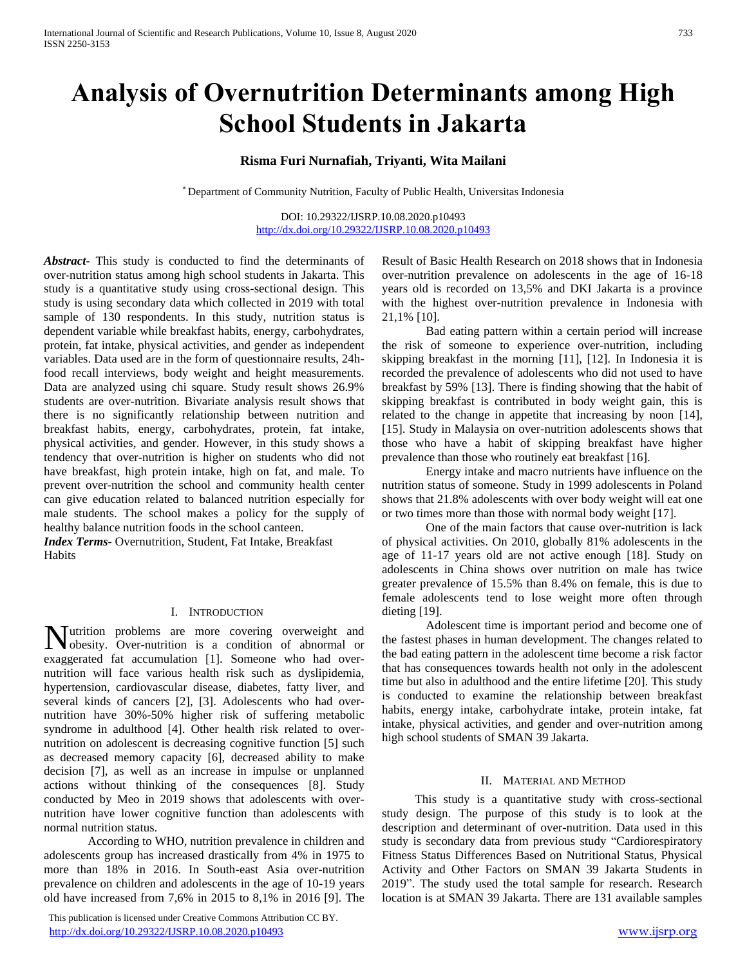# **Analysis of Overnutrition Determinants among High School Students in Jakarta**

# **Risma Furi Nurnafiah, Triyanti, Wita Mailani**

\* Department of Community Nutrition, Faculty of Public Health, Universitas Indonesia

DOI: 10.29322/IJSRP.10.08.2020.p10493 <http://dx.doi.org/10.29322/IJSRP.10.08.2020.p10493>

*Abstract***-** This study is conducted to find the determinants of over-nutrition status among high school students in Jakarta. This study is a quantitative study using cross-sectional design. This study is using secondary data which collected in 2019 with total sample of 130 respondents. In this study, nutrition status is dependent variable while breakfast habits, energy, carbohydrates, protein, fat intake, physical activities, and gender as independent variables. Data used are in the form of questionnaire results, 24hfood recall interviews, body weight and height measurements. Data are analyzed using chi square. Study result shows 26.9% students are over-nutrition. Bivariate analysis result shows that there is no significantly relationship between nutrition and breakfast habits, energy, carbohydrates, protein, fat intake, physical activities, and gender. However, in this study shows a tendency that over-nutrition is higher on students who did not have breakfast, high protein intake, high on fat, and male. To prevent over-nutrition the school and community health center can give education related to balanced nutrition especially for male students. The school makes a policy for the supply of healthy balance nutrition foods in the school canteen.

*Index Terms*- Overnutrition, Student, Fat Intake, Breakfast Habits

#### I. INTRODUCTION

utrition problems are more covering overweight and Nutrition problems are more covering overweight and obesity. Over-nutrition is a condition of abnormal or exaggerated fat accumulation [1]. Someone who had overnutrition will face various health risk such as dyslipidemia, hypertension, cardiovascular disease, diabetes, fatty liver, and several kinds of cancers [2], [3]. Adolescents who had overnutrition have 30%-50% higher risk of suffering metabolic syndrome in adulthood [4]. Other health risk related to overnutrition on adolescent is decreasing cognitive function [5] such as decreased memory capacity [6], decreased ability to make decision [7], as well as an increase in impulse or unplanned actions without thinking of the consequences [8]. Study conducted by Meo in 2019 shows that adolescents with overnutrition have lower cognitive function than adolescents with normal nutrition status.

According to WHO, nutrition prevalence in children and adolescents group has increased drastically from 4% in 1975 to more than 18% in 2016. In South-east Asia over-nutrition prevalence on children and adolescents in the age of 10-19 years old have increased from 7,6% in 2015 to 8,1% in 2016 [9]. The

 This publication is licensed under Creative Commons Attribution CC BY. <http://dx.doi.org/10.29322/IJSRP.10.08.2020.p10493> [www.ijsrp.org](http://ijsrp.org/)

Result of Basic Health Research on 2018 shows that in Indonesia over-nutrition prevalence on adolescents in the age of 16-18 years old is recorded on 13,5% and DKI Jakarta is a province with the highest over-nutrition prevalence in Indonesia with 21,1% [10].

Bad eating pattern within a certain period will increase the risk of someone to experience over-nutrition, including skipping breakfast in the morning [11], [12]. In Indonesia it is recorded the prevalence of adolescents who did not used to have breakfast by 59% [13]. There is finding showing that the habit of skipping breakfast is contributed in body weight gain, this is related to the change in appetite that increasing by noon [14], [15]. Study in Malaysia on over-nutrition adolescents shows that those who have a habit of skipping breakfast have higher prevalence than those who routinely eat breakfast [16].

Energy intake and macro nutrients have influence on the nutrition status of someone. Study in 1999 adolescents in Poland shows that 21.8% adolescents with over body weight will eat one or two times more than those with normal body weight [17].

One of the main factors that cause over-nutrition is lack of physical activities. On 2010, globally 81% adolescents in the age of 11-17 years old are not active enough [18]. Study on adolescents in China shows over nutrition on male has twice greater prevalence of 15.5% than 8.4% on female, this is due to female adolescents tend to lose weight more often through dieting [19].

Adolescent time is important period and become one of the fastest phases in human development. The changes related to the bad eating pattern in the adolescent time become a risk factor that has consequences towards health not only in the adolescent time but also in adulthood and the entire lifetime [20]. This study is conducted to examine the relationship between breakfast habits, energy intake, carbohydrate intake, protein intake, fat intake, physical activities, and gender and over-nutrition among high school students of SMAN 39 Jakarta.

#### II. MATERIAL AND METHOD

This study is a quantitative study with cross-sectional study design. The purpose of this study is to look at the description and determinant of over-nutrition. Data used in this study is secondary data from previous study "Cardiorespiratory Fitness Status Differences Based on Nutritional Status, Physical Activity and Other Factors on SMAN 39 Jakarta Students in 2019". The study used the total sample for research. Research location is at SMAN 39 Jakarta. There are 131 available samples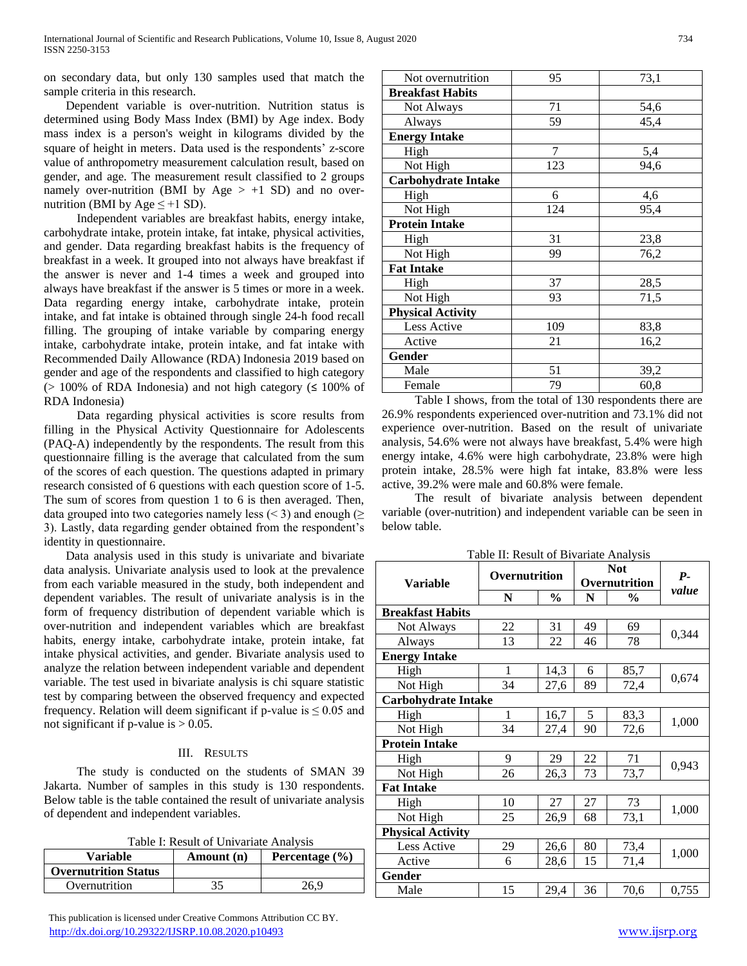on secondary data, but only 130 samples used that match the sample criteria in this research.

Dependent variable is over-nutrition. Nutrition status is determined using Body Mass Index (BMI) by Age index. Body mass index is a person's weight in kilograms divided by the square of height in meters. Data used is the respondents' z-score value of anthropometry measurement calculation result, based on gender, and age. The measurement result classified to 2 groups namely over-nutrition (BMI by Age  $> +1$  SD) and no overnutrition (BMI by Age  $\leq +1$  SD).

Independent variables are breakfast habits, energy intake, carbohydrate intake, protein intake, fat intake, physical activities, and gender. Data regarding breakfast habits is the frequency of breakfast in a week. It grouped into not always have breakfast if the answer is never and 1-4 times a week and grouped into always have breakfast if the answer is 5 times or more in a week. Data regarding energy intake, carbohydrate intake, protein intake, and fat intake is obtained through single 24-h food recall filling. The grouping of intake variable by comparing energy intake, carbohydrate intake, protein intake, and fat intake with Recommended Daily Allowance (RDA) Indonesia 2019 based on gender and age of the respondents and classified to high category  $(> 100\%$  of RDA Indonesia) and not high category ( $\leq 100\%$  of RDA Indonesia)

Data regarding physical activities is score results from filling in the Physical Activity Questionnaire for Adolescents (PAQ-A) independently by the respondents. The result from this questionnaire filling is the average that calculated from the sum of the scores of each question. The questions adapted in primary research consisted of 6 questions with each question score of 1-5. The sum of scores from question 1 to 6 is then averaged. Then, data grouped into two categories namely less (< 3) and enough ( $\geq$ 3). Lastly, data regarding gender obtained from the respondent's identity in questionnaire.

Data analysis used in this study is univariate and bivariate data analysis. Univariate analysis used to look at the prevalence from each variable measured in the study, both independent and dependent variables. The result of univariate analysis is in the form of frequency distribution of dependent variable which is over-nutrition and independent variables which are breakfast habits, energy intake, carbohydrate intake, protein intake, fat intake physical activities, and gender. Bivariate analysis used to analyze the relation between independent variable and dependent variable. The test used in bivariate analysis is chi square statistic test by comparing between the observed frequency and expected frequency. Relation will deem significant if p-value is  $\leq 0.05$  and not significant if p-value is  $> 0.05$ .

## III. RESULTS

The study is conducted on the students of SMAN 39 Jakarta. Number of samples in this study is 130 respondents. Below table is the table contained the result of univariate analysis of dependent and independent variables.

| Variable                    | Amount (n) | Percentage $(\% )$ |
|-----------------------------|------------|--------------------|
| <b>Overnutrition Status</b> |            |                    |
| Overnutrition               |            | 26.9               |

 This publication is licensed under Creative Commons Attribution CC BY. <http://dx.doi.org/10.29322/IJSRP.10.08.2020.p10493> [www.ijsrp.org](http://ijsrp.org/)

|     | 73,1                                               |
|-----|----------------------------------------------------|
|     |                                                    |
|     |                                                    |
|     | 54,6                                               |
| 59  | 45,4                                               |
|     |                                                    |
| 7   | 5,4                                                |
| 123 | 94,6                                               |
|     |                                                    |
| 6   | 4,6                                                |
| 124 | 95,4                                               |
|     |                                                    |
| 31  | 23,8                                               |
| 99  | 76,2                                               |
|     |                                                    |
| 37  | 28,5                                               |
| 93  | 71,5                                               |
|     |                                                    |
| 109 | 83,8                                               |
| 21  | 16,2                                               |
|     |                                                    |
| 51  | 39,2                                               |
| 79  | 60,8                                               |
|     | 95<br>71<br>$\overline{a}$<br>$\sim$ $\sim$ $\sim$ |

Table I shows, from the total of 130 respondents there are 26.9% respondents experienced over-nutrition and 73.1% did not experience over-nutrition. Based on the result of univariate analysis, 54.6% were not always have breakfast, 5.4% were high energy intake, 4.6% were high carbohydrate, 23.8% were high protein intake, 28.5% were high fat intake, 83.8% were less active, 39.2% were male and 60.8% were female.

The result of bivariate analysis between dependent variable (over-nutrition) and independent variable can be seen in below table.

Table II: Result of Bivariate Analysis

| <b>Variable</b>            | Overnutrition |               | <b>Not</b><br>Overnutrition |               | $P-$  |  |  |
|----------------------------|---------------|---------------|-----------------------------|---------------|-------|--|--|
|                            | N             | $\frac{6}{9}$ | N                           | $\frac{0}{0}$ | value |  |  |
| <b>Breakfast Habits</b>    |               |               |                             |               |       |  |  |
| Not Always                 | 22            | 31            | 49                          | 69            | 0,344 |  |  |
| Always                     | 13            | 22            | 46                          | 78            |       |  |  |
| <b>Energy Intake</b>       |               |               |                             |               |       |  |  |
| High                       | 1             | 14,3          | 6                           | 85,7          |       |  |  |
| Not High                   | 34            | 27,6          | 89                          | 72,4          | 0,674 |  |  |
| <b>Carbohydrate Intake</b> |               |               |                             |               |       |  |  |
| High                       | 1             | 16,7          | 5                           | 83,3          | 1,000 |  |  |
| Not High                   | 34            | 27,4          | 90                          | 72,6          |       |  |  |
| <b>Protein Intake</b>      |               |               |                             |               |       |  |  |
| High                       | 9             | 29            | 22                          | 71            | 0,943 |  |  |
| Not High                   | 26            | 26,3          | 73                          | 73,7          |       |  |  |
| <b>Fat Intake</b>          |               |               |                             |               |       |  |  |
| High                       | 10            | 27            | 27                          | 73            | 1,000 |  |  |
| Not High                   | 25            | 26,9          | 68                          | 73,1          |       |  |  |
| <b>Physical Activity</b>   |               |               |                             |               |       |  |  |
| Less Active                | 29            | 26,6          | 80                          | 73,4          | 1,000 |  |  |
| Active                     | 6             | 28,6          | 15                          | 71,4          |       |  |  |
| Gender                     |               |               |                             |               |       |  |  |
| Male                       | 15            | 29,4          | 36                          | 70,6          | 0,755 |  |  |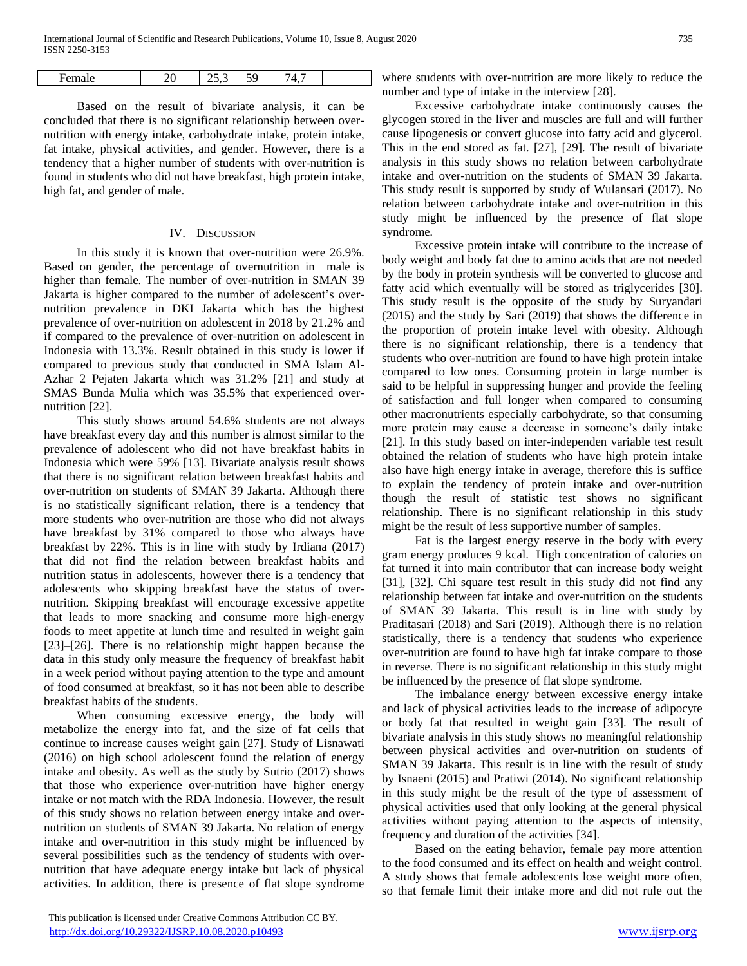| ה ו<br>$H\Delta$<br>- | __ | $\overline{\phantom{a}}$<br>$\ddot{\phantom{0}}$<br>ت<br>-- | $\overline{\phantom{a}}$ |  |
|-----------------------|----|-------------------------------------------------------------|--------------------------|--|
|                       |    |                                                             |                          |  |

 $\mathsf{I}$ 

Based on the result of bivariate analysis, it can be concluded that there is no significant relationship between overnutrition with energy intake, carbohydrate intake, protein intake, fat intake, physical activities, and gender. However, there is a tendency that a higher number of students with over-nutrition is found in students who did not have breakfast, high protein intake, high fat, and gender of male.

#### IV. DISCUSSION

In this study it is known that over-nutrition were 26.9%. Based on gender, the percentage of overnutrition in male is higher than female. The number of over-nutrition in SMAN 39 Jakarta is higher compared to the number of adolescent's overnutrition prevalence in DKI Jakarta which has the highest prevalence of over-nutrition on adolescent in 2018 by 21.2% and if compared to the prevalence of over-nutrition on adolescent in Indonesia with 13.3%. Result obtained in this study is lower if compared to previous study that conducted in SMA Islam Al-Azhar 2 Pejaten Jakarta which was 31.2% [21] and study at SMAS Bunda Mulia which was 35.5% that experienced overnutrition [22].

This study shows around 54.6% students are not always have breakfast every day and this number is almost similar to the prevalence of adolescent who did not have breakfast habits in Indonesia which were 59% [13]. Bivariate analysis result shows that there is no significant relation between breakfast habits and over-nutrition on students of SMAN 39 Jakarta. Although there is no statistically significant relation, there is a tendency that more students who over-nutrition are those who did not always have breakfast by 31% compared to those who always have breakfast by 22%. This is in line with study by Irdiana (2017) that did not find the relation between breakfast habits and nutrition status in adolescents, however there is a tendency that adolescents who skipping breakfast have the status of overnutrition. Skipping breakfast will encourage excessive appetite that leads to more snacking and consume more high-energy foods to meet appetite at lunch time and resulted in weight gain [23]–[26]. There is no relationship might happen because the data in this study only measure the frequency of breakfast habit in a week period without paying attention to the type and amount of food consumed at breakfast, so it has not been able to describe breakfast habits of the students.

When consuming excessive energy, the body will metabolize the energy into fat, and the size of fat cells that continue to increase causes weight gain [27]. Study of Lisnawati (2016) on high school adolescent found the relation of energy intake and obesity. As well as the study by Sutrio (2017) shows that those who experience over-nutrition have higher energy intake or not match with the RDA Indonesia. However, the result of this study shows no relation between energy intake and overnutrition on students of SMAN 39 Jakarta. No relation of energy intake and over-nutrition in this study might be influenced by several possibilities such as the tendency of students with overnutrition that have adequate energy intake but lack of physical activities. In addition, there is presence of flat slope syndrome

where students with over-nutrition are more likely to reduce the number and type of intake in the interview [28].

Excessive carbohydrate intake continuously causes the glycogen stored in the liver and muscles are full and will further cause lipogenesis or convert glucose into fatty acid and glycerol. This in the end stored as fat. [27], [29]. The result of bivariate analysis in this study shows no relation between carbohydrate intake and over-nutrition on the students of SMAN 39 Jakarta. This study result is supported by study of Wulansari (2017). No relation between carbohydrate intake and over-nutrition in this study might be influenced by the presence of flat slope syndrome*.*

Excessive protein intake will contribute to the increase of body weight and body fat due to amino acids that are not needed by the body in protein synthesis will be converted to glucose and fatty acid which eventually will be stored as triglycerides [30]. This study result is the opposite of the study by Suryandari (2015) and the study by Sari (2019) that shows the difference in the proportion of protein intake level with obesity. Although there is no significant relationship, there is a tendency that students who over-nutrition are found to have high protein intake compared to low ones. Consuming protein in large number is said to be helpful in suppressing hunger and provide the feeling of satisfaction and full longer when compared to consuming other macronutrients especially carbohydrate, so that consuming more protein may cause a decrease in someone's daily intake [21]. In this study based on inter-independen variable test result obtained the relation of students who have high protein intake also have high energy intake in average, therefore this is suffice to explain the tendency of protein intake and over-nutrition though the result of statistic test shows no significant relationship. There is no significant relationship in this study might be the result of less supportive number of samples.

Fat is the largest energy reserve in the body with every gram energy produces 9 kcal. High concentration of calories on fat turned it into main contributor that can increase body weight [31], [32]. Chi square test result in this study did not find any relationship between fat intake and over-nutrition on the students of SMAN 39 Jakarta. This result is in line with study by Praditasari (2018) and Sari (2019). Although there is no relation statistically, there is a tendency that students who experience over-nutrition are found to have high fat intake compare to those in reverse. There is no significant relationship in this study might be influenced by the presence of flat slope syndrome.

The imbalance energy between excessive energy intake and lack of physical activities leads to the increase of adipocyte or body fat that resulted in weight gain [33]. The result of bivariate analysis in this study shows no meaningful relationship between physical activities and over-nutrition on students of SMAN 39 Jakarta. This result is in line with the result of study by Isnaeni (2015) and Pratiwi (2014). No significant relationship in this study might be the result of the type of assessment of physical activities used that only looking at the general physical activities without paying attention to the aspects of intensity, frequency and duration of the activities [34].

Based on the eating behavior, female pay more attention to the food consumed and its effect on health and weight control. A study shows that female adolescents lose weight more often, so that female limit their intake more and did not rule out the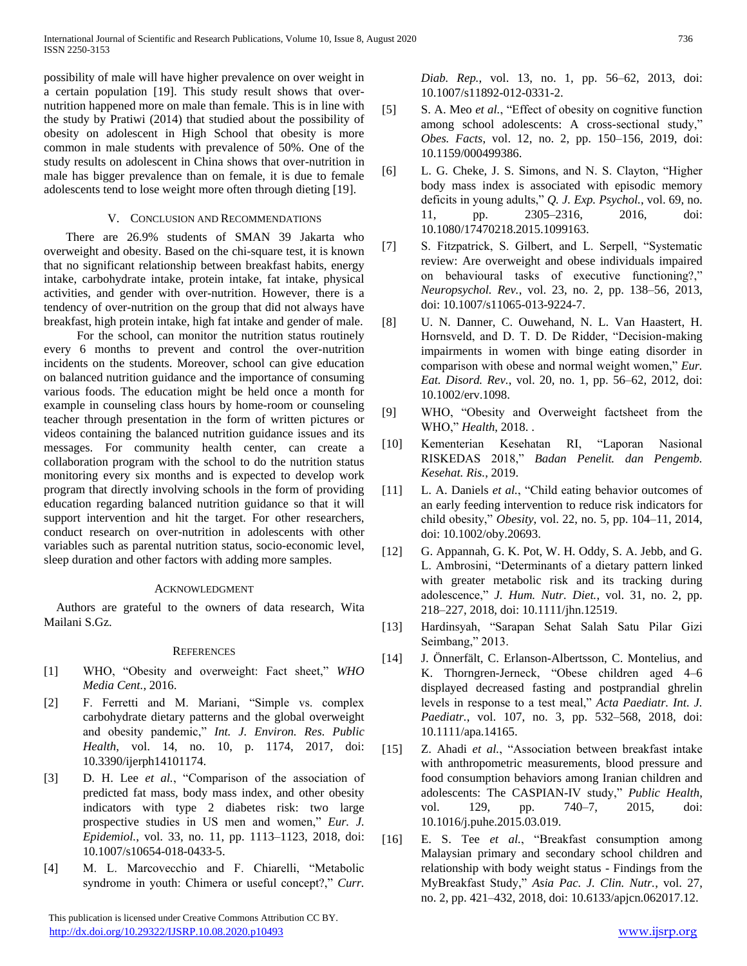possibility of male will have higher prevalence on over weight in a certain population [19]. This study result shows that overnutrition happened more on male than female. This is in line with the study by Pratiwi (2014) that studied about the possibility of obesity on adolescent in High School that obesity is more common in male students with prevalence of 50%. One of the study results on adolescent in China shows that over-nutrition in male has bigger prevalence than on female, it is due to female adolescents tend to lose weight more often through dieting [19].

# V. CONCLUSION AND RECOMMENDATIONS

There are 26.9% students of SMAN 39 Jakarta who overweight and obesity. Based on the chi-square test, it is known that no significant relationship between breakfast habits, energy intake, carbohydrate intake, protein intake, fat intake, physical activities, and gender with over-nutrition. However, there is a tendency of over-nutrition on the group that did not always have breakfast, high protein intake, high fat intake and gender of male.

For the school, can monitor the nutrition status routinely every 6 months to prevent and control the over-nutrition incidents on the students. Moreover, school can give education on balanced nutrition guidance and the importance of consuming various foods. The education might be held once a month for example in counseling class hours by home-room or counseling teacher through presentation in the form of written pictures or videos containing the balanced nutrition guidance issues and its messages. For community health center, can create a collaboration program with the school to do the nutrition status monitoring every six months and is expected to develop work program that directly involving schools in the form of providing education regarding balanced nutrition guidance so that it will support intervention and hit the target. For other researchers, conduct research on over-nutrition in adolescents with other variables such as parental nutrition status, socio-economic level, sleep duration and other factors with adding more samples.

## ACKNOWLEDGMENT

Authors are grateful to the owners of data research, Wita Mailani S.Gz.

# **REFERENCES**

- [1] WHO, "Obesity and overweight: Fact sheet," *WHO Media Cent.*, 2016.
- [2] F. Ferretti and M. Mariani, "Simple vs. complex carbohydrate dietary patterns and the global overweight and obesity pandemic," *Int. J. Environ. Res. Public Health*, vol. 14, no. 10, p. 1174, 2017, doi: 10.3390/ijerph14101174.
- [3] D. H. Lee *et al.*, "Comparison of the association of predicted fat mass, body mass index, and other obesity indicators with type 2 diabetes risk: two large prospective studies in US men and women," *Eur. J. Epidemiol.*, vol. 33, no. 11, pp. 1113–1123, 2018, doi: 10.1007/s10654-018-0433-5.
- [4] M. L. Marcovecchio and F. Chiarelli, "Metabolic syndrome in youth: Chimera or useful concept?," *Curr.*

 This publication is licensed under Creative Commons Attribution CC BY. <http://dx.doi.org/10.29322/IJSRP.10.08.2020.p10493> [www.ijsrp.org](http://ijsrp.org/)

*Diab. Rep.*, vol. 13, no. 1, pp. 56–62, 2013, doi: 10.1007/s11892-012-0331-2.

- [5] S. A. Meo *et al.*, "Effect of obesity on cognitive function among school adolescents: A cross-sectional study," *Obes. Facts*, vol. 12, no. 2, pp. 150–156, 2019, doi: 10.1159/000499386.
- [6] L. G. Cheke, J. S. Simons, and N. S. Clayton, "Higher body mass index is associated with episodic memory deficits in young adults," *Q. J. Exp. Psychol.*, vol. 69, no. 11, pp. 2305–2316, 2016, doi: 10.1080/17470218.2015.1099163.
- [7] S. Fitzpatrick, S. Gilbert, and L. Serpell, "Systematic review: Are overweight and obese individuals impaired on behavioural tasks of executive functioning?," *Neuropsychol. Rev.*, vol. 23, no. 2, pp. 138–56, 2013, doi: 10.1007/s11065-013-9224-7.
- [8] U. N. Danner, C. Ouwehand, N. L. Van Haastert, H. Hornsveld, and D. T. D. De Ridder, "Decision-making impairments in women with binge eating disorder in comparison with obese and normal weight women," *Eur. Eat. Disord. Rev.*, vol. 20, no. 1, pp. 56–62, 2012, doi: 10.1002/erv.1098.
- [9] WHO, "Obesity and Overweight factsheet from the WHO," *Health*, 2018. .
- [10] Kementerian Kesehatan RI, "Laporan Nasional RISKEDAS 2018," *Badan Penelit. dan Pengemb. Kesehat. Ris.*, 2019.
- [11] L. A. Daniels *et al.*, "Child eating behavior outcomes of an early feeding intervention to reduce risk indicators for child obesity," *Obesity*, vol. 22, no. 5, pp. 104–11, 2014, doi: 10.1002/oby.20693.
- [12] G. Appannah, G. K. Pot, W. H. Oddy, S. A. Jebb, and G. L. Ambrosini, "Determinants of a dietary pattern linked with greater metabolic risk and its tracking during adolescence," *J. Hum. Nutr. Diet.*, vol. 31, no. 2, pp. 218–227, 2018, doi: 10.1111/jhn.12519.
- [13] Hardinsyah, "Sarapan Sehat Salah Satu Pilar Gizi Seimbang," 2013.
- [14] J. Önnerfält, C. Erlanson-Albertsson, C. Montelius, and K. Thorngren-Jerneck, "Obese children aged 4–6 displayed decreased fasting and postprandial ghrelin levels in response to a test meal," *Acta Paediatr. Int. J. Paediatr.*, vol. 107, no. 3, pp. 532–568, 2018, doi: 10.1111/apa.14165.
- [15] Z. Ahadi *et al.*, "Association between breakfast intake with anthropometric measurements, blood pressure and food consumption behaviors among Iranian children and adolescents: The CASPIAN-IV study," *Public Health*, vol. 129, pp. 740–7, 2015, doi: 10.1016/j.puhe.2015.03.019.
- [16] E. S. Tee *et al.*, "Breakfast consumption among Malaysian primary and secondary school children and relationship with body weight status - Findings from the MyBreakfast Study," *Asia Pac. J. Clin. Nutr.*, vol. 27, no. 2, pp. 421–432, 2018, doi: 10.6133/apjcn.062017.12.